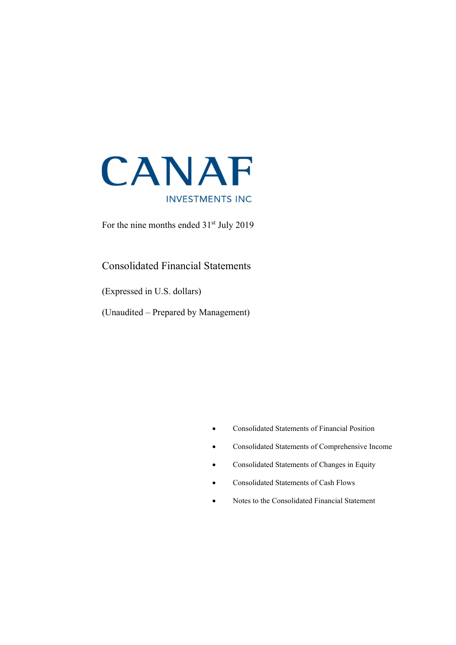

For the nine months ended  $31<sup>st</sup>$  July 2019

### Consolidated Financial Statements

(Expressed in U.S. dollars)

(Unaudited – Prepared by Management)

- Consolidated Statements of Financial Position
- Consolidated Statements of Comprehensive Income
- Consolidated Statements of Changes in Equity
- Consolidated Statements of Cash Flows
- Notes to the Consolidated Financial Statement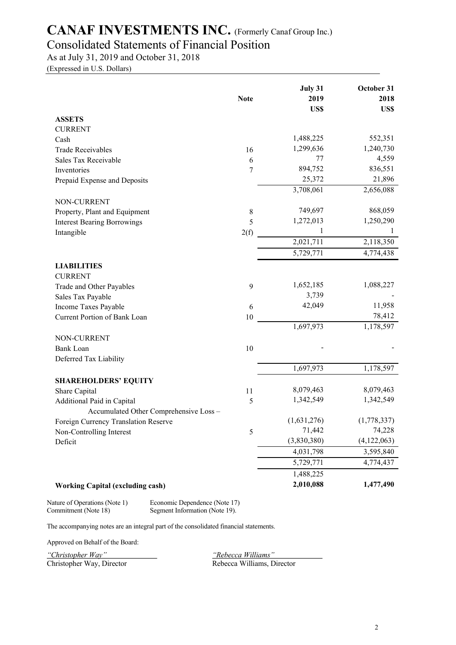### Consolidated Statements of Financial Position

As at July 31, 2019 and October 31, 2018

(Expressed in U.S. Dollars)

|                                         | <b>Note</b> | July 31<br>2019 | October 31<br>2018 |
|-----------------------------------------|-------------|-----------------|--------------------|
|                                         |             | US\$            | US\$               |
| <b>ASSETS</b>                           |             |                 |                    |
| <b>CURRENT</b>                          |             |                 |                    |
| Cash                                    |             | 1,488,225       | 552,351            |
| <b>Trade Receivables</b>                | 16          | 1,299,636       | 1,240,730          |
| Sales Tax Receivable                    | 6           | 77              | 4,559              |
| Inventories                             | 7           | 894,752         | 836,551            |
| Prepaid Expense and Deposits            |             | 25,372          | 21,896             |
|                                         |             | 3,708,061       | 2,656,088          |
| NON-CURRENT                             |             |                 |                    |
| Property, Plant and Equipment           | 8           | 749,697         | 868,059            |
| <b>Interest Bearing Borrowings</b>      | 5           | 1,272,013       | 1,250,290          |
| Intangible                              | 2(f)        | 1               | 1                  |
|                                         |             | 2,021,711       | 2,118,350          |
|                                         |             | 5,729,771       | 4,774,438          |
| <b>LIABILITIES</b>                      |             |                 |                    |
| <b>CURRENT</b>                          |             |                 |                    |
| Trade and Other Payables                | 9           | 1,652,185       | 1,088,227          |
| Sales Tax Payable                       |             | 3,739           |                    |
| Income Taxes Payable                    | 6           | 42,049          | 11,958             |
| Current Portion of Bank Loan            | 10          |                 | 78,412             |
|                                         |             | 1,697,973       | 1,178,597          |
| NON-CURRENT                             |             |                 |                    |
| <b>Bank Loan</b>                        | 10          |                 |                    |
| Deferred Tax Liability                  |             |                 |                    |
|                                         |             | 1,697,973       | 1,178,597          |
| <b>SHAREHOLDERS' EQUITY</b>             |             |                 |                    |
| Share Capital                           | 11          | 8,079,463       | 8,079,463          |
| Additional Paid in Capital              | 5           | 1,342,549       | 1,342,549          |
| Accumulated Other Comprehensive Loss -  |             |                 |                    |
| Foreign Currency Translation Reserve    |             | (1,631,276)     | (1,778,337)        |
| Non-Controlling Interest                | 5           | 71,442          | 74,228             |
| Deficit                                 |             | (3,830,380)     | (4,122,063)        |
|                                         |             | 4,031,798       | 3,595,840          |
|                                         |             | 5,729,771       | 4,774,437          |
|                                         |             | 1,488,225       |                    |
| <b>Working Capital (excluding cash)</b> |             | 2,010,088       | 1,477,490          |

Nature of Operations (Note 1) Economic Dependence (Note 17)<br>Commitment (Note 18) Segment Information (Note 19).

Segment Information (Note 19).

The accompanying notes are an integral part of the consolidated financial statements.

Approved on Behalf of the Board:

Christopher Way, Director Rebecca Williams, Director

"Christopher Way" "Rebecca Williams"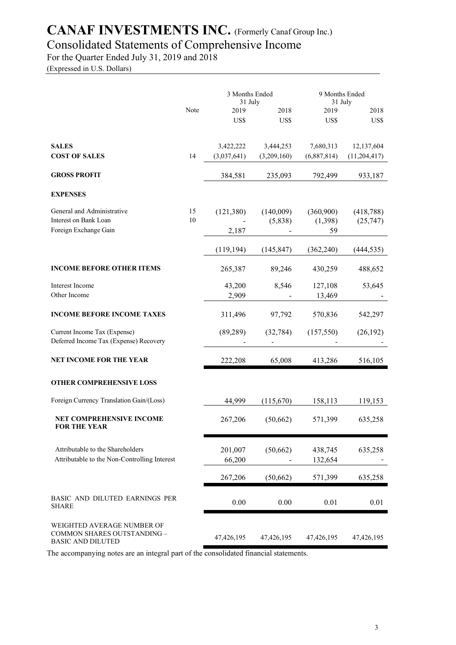### Consolidated Statements of Comprehensive Income

For the Quarter Ended July 31, 2019 and 2018

(Expressed in U.S. Dollars)

|                                                                                       |          | 3 Months Ended<br>31 July |             |                    | 9 Months Ended<br>31 July |  |  |
|---------------------------------------------------------------------------------------|----------|---------------------------|-------------|--------------------|---------------------------|--|--|
|                                                                                       | Note     | 2019                      | 2018        | 2019               | 2018                      |  |  |
|                                                                                       |          | US\$                      | US\$        | US\$               | US\$                      |  |  |
| <b>SALES</b>                                                                          |          | 3,422,222                 | 3,444,253   | 7,680,313          | 12,137,604                |  |  |
| <b>COST OF SALES</b>                                                                  | 14       | (3,037,641)               | (3,209,160) | (6,887,814)        | (11, 204, 417)            |  |  |
| <b>GROSS PROFIT</b>                                                                   |          | 384,581                   | 235,093     | 792,499            | 933,187                   |  |  |
| <b>EXPENSES</b>                                                                       |          |                           |             |                    |                           |  |  |
| General and Administrative<br>Interest on Bank Loan                                   | 15<br>10 | (121,380)                 | (140,009)   | (360,900)          | (418, 788)                |  |  |
| Foreign Exchange Gain                                                                 |          | 2,187                     | (5,838)     | (1, 398)<br>59     | (25, 747)                 |  |  |
|                                                                                       |          | (119, 194)                | (145, 847)  | (362, 240)         | (444, 535)                |  |  |
| <b>INCOME BEFORE OTHER ITEMS</b>                                                      |          | 265,387                   | 89,246      | 430,259            | 488,652                   |  |  |
| Interest Income                                                                       |          | 43,200                    | 8,546       | 127,108            | 53,645                    |  |  |
| Other Income                                                                          |          | 2,909                     |             | 13,469             |                           |  |  |
| <b>INCOME BEFORE INCOME TAXES</b>                                                     |          | 311,496                   | 97,792      | 570,836            | 542,297                   |  |  |
| Current Income Tax (Expense)<br>Deferred Income Tax (Expense) Recovery                |          | (89, 289)                 | (32, 784)   | (157, 550)         | (26, 192)                 |  |  |
| <b>NET INCOME FOR THE YEAR</b>                                                        |          | 222,208                   | 65,008      | 413,286            | 516,105                   |  |  |
| OTHER COMPREHENSIVE LOSS                                                              |          |                           |             |                    |                           |  |  |
| Foreign Currency Translation Gain/(Loss)                                              |          | 44,999                    | (115,670)   | 158,113            | 119,153                   |  |  |
| NET COMPREHENSIVE INCOME<br><b>FOR THE YEAR</b>                                       |          | 267,206                   | (50,662)    | 571,399            | 635,258                   |  |  |
| Attributable to the Shareholders<br>Attributable to the Non-Controlling Interest      |          | 201,007<br>66,200         | (50,662)    | 438,745<br>132,654 | 635,258                   |  |  |
|                                                                                       |          | 267,206                   | (50,662)    | 571,399            | 635,258                   |  |  |
| BASIC AND DILUTED EARNINGS PER<br><b>SHARE</b>                                        |          | 0.00                      | 0.00        | 0.01               | 0.01                      |  |  |
| WEIGHTED AVERAGE NUMBER OF<br>COMMON SHARES OUTSTANDING -<br><b>BASIC AND DILUTED</b> |          | 47,426,195                | 47,426,195  | 47,426,195         | 47,426,195                |  |  |

The accompanying notes are an integral part of the consolidated financial statements.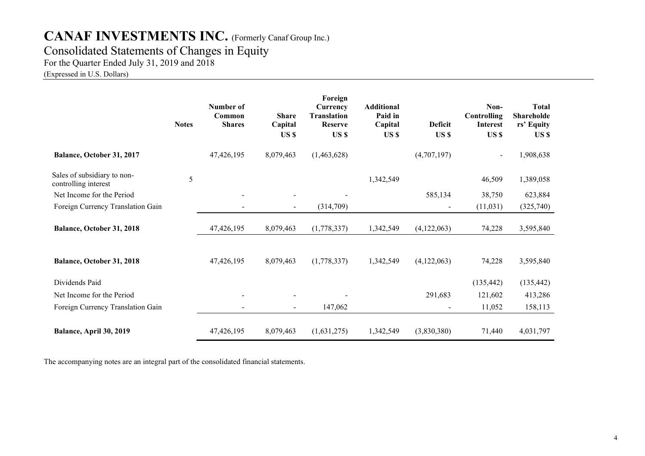Consolidated Statements of Changes in Equity

For the Quarter Ended July 31, 2019 and 2018

(Expressed in U.S. Dollars)

|                                                     | <b>Notes</b> | Number of<br>Common<br><b>Shares</b> | <b>Share</b><br>Capital<br>US \$ | Foreign<br>Currency<br><b>Translation</b><br><b>Reserve</b><br>US \$ | <b>Additional</b><br>Paid in<br>Capital<br>US \$ | <b>Deficit</b><br>US \$ | Non-<br>Controlling<br><b>Interest</b><br>US \$ | <b>Total</b><br>Shareholde<br>rs' Equity<br>US \$ |
|-----------------------------------------------------|--------------|--------------------------------------|----------------------------------|----------------------------------------------------------------------|--------------------------------------------------|-------------------------|-------------------------------------------------|---------------------------------------------------|
| Balance, October 31, 2017                           |              | 47,426,195                           | 8,079,463                        | (1,463,628)                                                          |                                                  | (4,707,197)             | $\blacksquare$                                  | 1,908,638                                         |
| Sales of subsidiary to non-<br>controlling interest | 5            |                                      |                                  |                                                                      | 1,342,549                                        |                         | 46,509                                          | 1,389,058                                         |
| Net Income for the Period                           |              | $\overline{\phantom{a}}$             |                                  |                                                                      |                                                  | 585,134                 | 38,750                                          | 623,884                                           |
| Foreign Currency Translation Gain                   |              | $\blacksquare$                       | $\overline{\phantom{a}}$         | (314,709)                                                            |                                                  |                         | (11,031)                                        | (325,740)                                         |
| Balance, October 31, 2018                           |              | 47,426,195                           | 8,079,463                        | (1,778,337)                                                          | 1,342,549                                        | (4,122,063)             | 74,228                                          | 3,595,840                                         |
| Balance, October 31, 2018                           |              | 47,426,195                           | 8,079,463                        | (1,778,337)                                                          | 1,342,549                                        | (4,122,063)             | 74,228                                          | 3,595,840                                         |
| Dividends Paid                                      |              |                                      |                                  |                                                                      |                                                  |                         | (135, 442)                                      | (135, 442)                                        |
| Net Income for the Period                           |              | $\blacksquare$                       |                                  |                                                                      |                                                  | 291,683                 | 121,602                                         | 413,286                                           |
| Foreign Currency Translation Gain                   |              | -                                    | $\blacksquare$                   | 147,062                                                              |                                                  |                         | 11,052                                          | 158,113                                           |
| Balance, April 30, 2019                             |              | 47,426,195                           | 8,079,463                        | (1,631,275)                                                          | 1,342,549                                        | (3,830,380)             | 71,440                                          | 4,031,797                                         |

The accompanying notes are an integral part of the consolidated financial statements.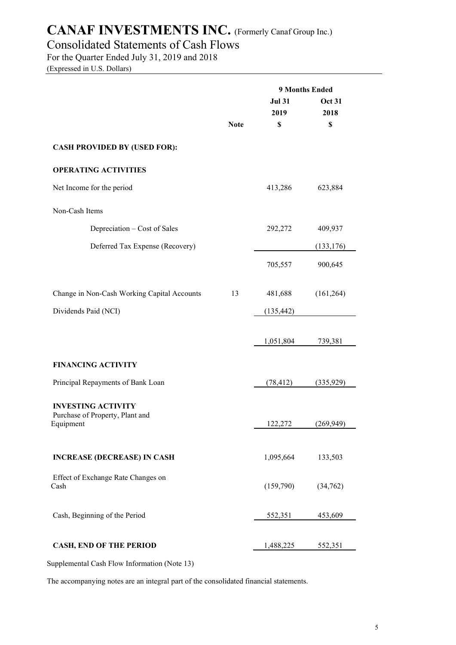### Consolidated Statements of Cash Flows

For the Quarter Ended July 31, 2019 and 2018

(Expressed in U.S. Dollars)

|                                              |             | 9 Months Ended |               |  |
|----------------------------------------------|-------------|----------------|---------------|--|
|                                              |             | <b>Jul 31</b>  | <b>Oct 31</b> |  |
|                                              |             | 2019           | 2018          |  |
|                                              | <b>Note</b> | \$             | \$            |  |
| <b>CASH PROVIDED BY (USED FOR):</b>          |             |                |               |  |
| <b>OPERATING ACTIVITIES</b>                  |             |                |               |  |
| Net Income for the period                    |             | 413,286        | 623,884       |  |
| Non-Cash Items                               |             |                |               |  |
| Depreciation – Cost of Sales                 |             | 292,272        | 409,937       |  |
| Deferred Tax Expense (Recovery)              |             |                | (133, 176)    |  |
|                                              |             | 705,557        | 900,645       |  |
| Change in Non-Cash Working Capital Accounts  | 13          | 481,688        | (161, 264)    |  |
| Dividends Paid (NCI)                         |             | (135, 442)     |               |  |
|                                              |             |                |               |  |
|                                              |             | 1,051,804      | 739,381       |  |
| <b>FINANCING ACTIVITY</b>                    |             |                |               |  |
| Principal Repayments of Bank Loan            |             | (78, 412)      | (335,929)     |  |
| <b>INVESTING ACTIVITY</b>                    |             |                |               |  |
| Purchase of Property, Plant and<br>Equipment |             | 122,272        | (269, 949)    |  |
|                                              |             |                |               |  |
| <b>INCREASE (DECREASE) IN CASH</b>           |             | 1,095,664      | 133,503       |  |
| Effect of Exchange Rate Changes on<br>Cash   |             | (159,790)      | (34, 762)     |  |
| Cash, Beginning of the Period                |             | 552,351        | 453,609       |  |
| <b>CASH, END OF THE PERIOD</b>               |             | 1,488,225      | 552,351       |  |

Supplemental Cash Flow Information (Note 13)

The accompanying notes are an integral part of the consolidated financial statements.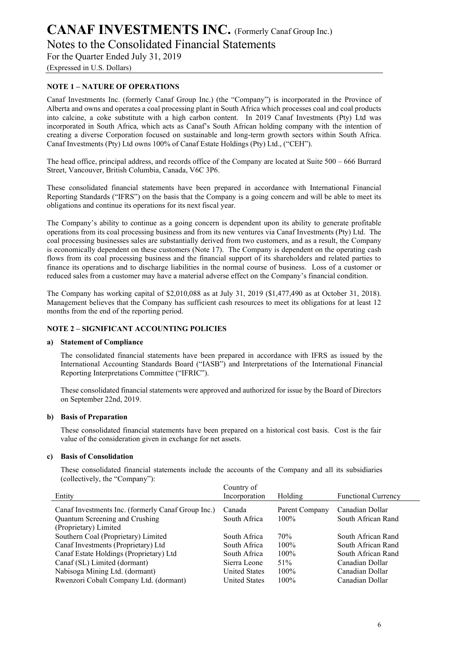Notes to the Consolidated Financial Statements

For the Quarter Ended July 31, 2019

(Expressed in U.S. Dollars)

### NOTE 1 – NATURE OF OPERATIONS

Canaf Investments Inc. (formerly Canaf Group Inc.) (the "Company") is incorporated in the Province of Alberta and owns and operates a coal processing plant in South Africa which processes coal and coal products into calcine, a coke substitute with a high carbon content. In 2019 Canaf Investments (Pty) Ltd was incorporated in South Africa, which acts as Canaf's South African holding company with the intention of creating a diverse Corporation focused on sustainable and long-term growth sectors within South Africa. Canaf Investments (Pty) Ltd owns 100% of Canaf Estate Holdings (Pty) Ltd., ("CEH").

The head office, principal address, and records office of the Company are located at Suite 500 – 666 Burrard Street, Vancouver, British Columbia, Canada, V6C 3P6.

These consolidated financial statements have been prepared in accordance with International Financial Reporting Standards ("IFRS") on the basis that the Company is a going concern and will be able to meet its obligations and continue its operations for its next fiscal year.

The Company's ability to continue as a going concern is dependent upon its ability to generate profitable operations from its coal processing business and from its new ventures via Canaf Investments (Pty) Ltd. The coal processing businesses sales are substantially derived from two customers, and as a result, the Company is economically dependent on these customers (Note 17). The Company is dependent on the operating cash flows from its coal processing business and the financial support of its shareholders and related parties to finance its operations and to discharge liabilities in the normal course of business. Loss of a customer or reduced sales from a customer may have a material adverse effect on the Company's financial condition.

The Company has working capital of \$2,010,088 as at July 31, 2019 (\$1,477,490 as at October 31, 2018). Management believes that the Company has sufficient cash resources to meet its obligations for at least 12 months from the end of the reporting period.

### NOTE 2 – SIGNIFICANT ACCOUNTING POLICIES

### a) Statement of Compliance

The consolidated financial statements have been prepared in accordance with IFRS as issued by the International Accounting Standards Board ("IASB") and Interpretations of the International Financial Reporting Interpretations Committee ("IFRIC").

These consolidated financial statements were approved and authorized for issue by the Board of Directors on September 22nd, 2019.

### b) Basis of Preparation

These consolidated financial statements have been prepared on a historical cost basis. Cost is the fair value of the consideration given in exchange for net assets.

### c) Basis of Consolidation

These consolidated financial statements include the accounts of the Company and all its subsidiaries (collectively, the "Company"):

|                                                                                                          | Country of                                                   |                           |                                                       |
|----------------------------------------------------------------------------------------------------------|--------------------------------------------------------------|---------------------------|-------------------------------------------------------|
| Entity                                                                                                   | Incorporation                                                | <b>Holding</b>            | <b>Functional Currency</b>                            |
| Canaf Investments Inc. (formerly Canaf Group Inc.)<br>Quantum Screening and Crushing                     | Canada<br>South Africa                                       | Parent Company<br>$100\%$ | Canadian Dollar<br>South African Rand                 |
| (Proprietary) Limited<br>Southern Coal (Proprietary) Limited                                             | South Africa                                                 | 70%                       | South African Rand                                    |
| Canaf Investments (Proprietary) Ltd<br>Canaf Estate Holdings (Proprietary) Ltd                           | South Africa<br>South Africa                                 | $100\%$<br>$100\%$        | South African Rand<br>South African Rand              |
| Canaf (SL) Limited (dormant)<br>Nabisoga Mining Ltd. (dormant)<br>Rwenzori Cobalt Company Ltd. (dormant) | Sierra Leone<br><b>United States</b><br><b>United States</b> | 51%<br>$100\%$<br>$100\%$ | Canadian Dollar<br>Canadian Dollar<br>Canadian Dollar |
|                                                                                                          |                                                              |                           |                                                       |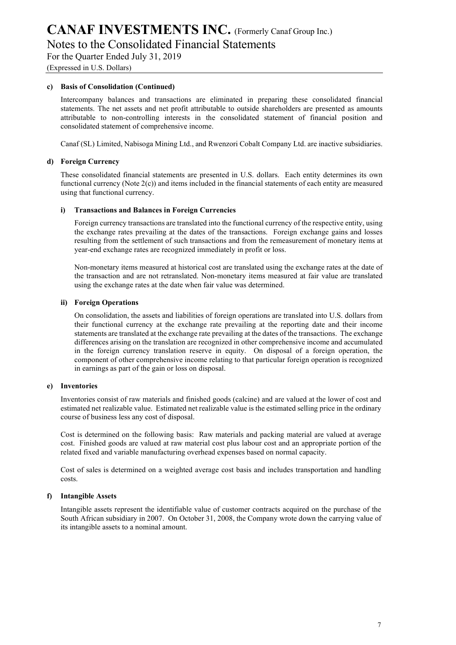Notes to the Consolidated Financial Statements

For the Quarter Ended July 31, 2019

(Expressed in U.S. Dollars)

### c) Basis of Consolidation (Continued)

Intercompany balances and transactions are eliminated in preparing these consolidated financial statements. The net assets and net profit attributable to outside shareholders are presented as amounts attributable to non-controlling interests in the consolidated statement of financial position and consolidated statement of comprehensive income.

Canaf (SL) Limited, Nabisoga Mining Ltd., and Rwenzori Cobalt Company Ltd. are inactive subsidiaries.

### d) Foreign Currency

These consolidated financial statements are presented in U.S. dollars. Each entity determines its own functional currency (Note 2(c)) and items included in the financial statements of each entity are measured using that functional currency.

### i) Transactions and Balances in Foreign Currencies

Foreign currency transactions are translated into the functional currency of the respective entity, using the exchange rates prevailing at the dates of the transactions. Foreign exchange gains and losses resulting from the settlement of such transactions and from the remeasurement of monetary items at year-end exchange rates are recognized immediately in profit or loss.

Non-monetary items measured at historical cost are translated using the exchange rates at the date of the transaction and are not retranslated. Non-monetary items measured at fair value are translated using the exchange rates at the date when fair value was determined.

### ii) Foreign Operations

On consolidation, the assets and liabilities of foreign operations are translated into U.S. dollars from their functional currency at the exchange rate prevailing at the reporting date and their income statements are translated at the exchange rate prevailing at the dates of the transactions. The exchange differences arising on the translation are recognized in other comprehensive income and accumulated in the foreign currency translation reserve in equity. On disposal of a foreign operation, the component of other comprehensive income relating to that particular foreign operation is recognized in earnings as part of the gain or loss on disposal.

### e) Inventories

Inventories consist of raw materials and finished goods (calcine) and are valued at the lower of cost and estimated net realizable value. Estimated net realizable value is the estimated selling price in the ordinary course of business less any cost of disposal.

Cost is determined on the following basis: Raw materials and packing material are valued at average cost. Finished goods are valued at raw material cost plus labour cost and an appropriate portion of the related fixed and variable manufacturing overhead expenses based on normal capacity.

Cost of sales is determined on a weighted average cost basis and includes transportation and handling costs.

### f) Intangible Assets

Intangible assets represent the identifiable value of customer contracts acquired on the purchase of the South African subsidiary in 2007. On October 31, 2008, the Company wrote down the carrying value of its intangible assets to a nominal amount.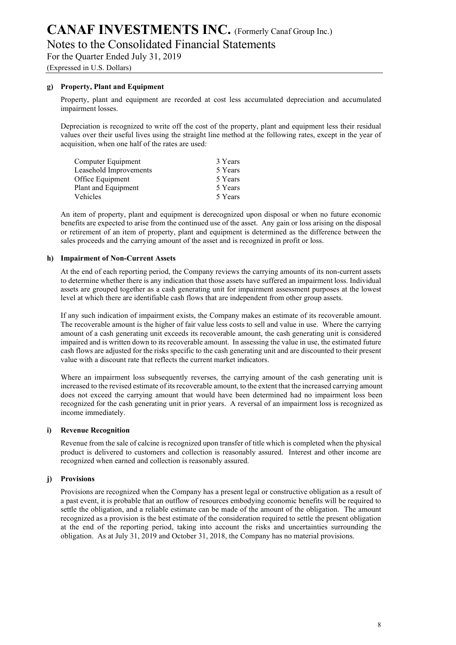Notes to the Consolidated Financial Statements

For the Quarter Ended July 31, 2019

(Expressed in U.S. Dollars)

### g) Property, Plant and Equipment

Property, plant and equipment are recorded at cost less accumulated depreciation and accumulated impairment losses.

Depreciation is recognized to write off the cost of the property, plant and equipment less their residual values over their useful lives using the straight line method at the following rates, except in the year of acquisition, when one half of the rates are used:

| Computer Equipment     | 3 Years |
|------------------------|---------|
| Leasehold Improvements | 5 Years |
| Office Equipment       | 5 Years |
| Plant and Equipment    | 5 Years |
| Vehicles               | 5 Years |
|                        |         |

An item of property, plant and equipment is derecognized upon disposal or when no future economic benefits are expected to arise from the continued use of the asset. Any gain or loss arising on the disposal or retirement of an item of property, plant and equipment is determined as the difference between the sales proceeds and the carrying amount of the asset and is recognized in profit or loss.

### h) Impairment of Non-Current Assets

At the end of each reporting period, the Company reviews the carrying amounts of its non-current assets to determine whether there is any indication that those assets have suffered an impairment loss. Individual assets are grouped together as a cash generating unit for impairment assessment purposes at the lowest level at which there are identifiable cash flows that are independent from other group assets.

If any such indication of impairment exists, the Company makes an estimate of its recoverable amount. The recoverable amount is the higher of fair value less costs to sell and value in use. Where the carrying amount of a cash generating unit exceeds its recoverable amount, the cash generating unit is considered impaired and is written down to its recoverable amount. In assessing the value in use, the estimated future cash flows are adjusted for the risks specific to the cash generating unit and are discounted to their present value with a discount rate that reflects the current market indicators.

Where an impairment loss subsequently reverses, the carrying amount of the cash generating unit is increased to the revised estimate of its recoverable amount, to the extent that the increased carrying amount does not exceed the carrying amount that would have been determined had no impairment loss been recognized for the cash generating unit in prior years. A reversal of an impairment loss is recognized as income immediately.

### i) Revenue Recognition

Revenue from the sale of calcine is recognized upon transfer of title which is completed when the physical product is delivered to customers and collection is reasonably assured. Interest and other income are recognized when earned and collection is reasonably assured.

### j) Provisions

Provisions are recognized when the Company has a present legal or constructive obligation as a result of a past event, it is probable that an outflow of resources embodying economic benefits will be required to settle the obligation, and a reliable estimate can be made of the amount of the obligation. The amount recognized as a provision is the best estimate of the consideration required to settle the present obligation at the end of the reporting period, taking into account the risks and uncertainties surrounding the obligation. As at July 31, 2019 and October 31, 2018, the Company has no material provisions.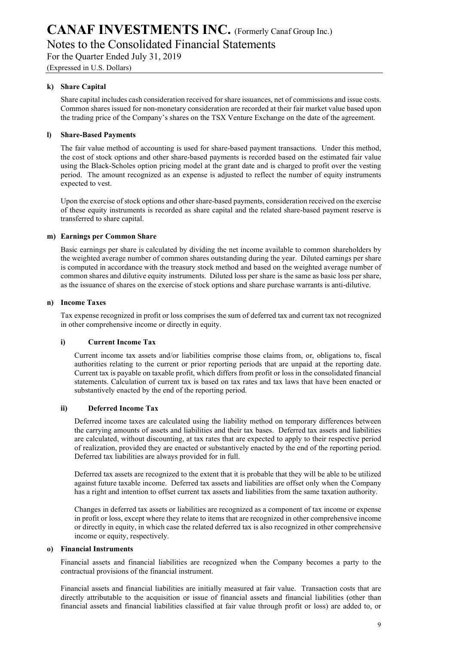Notes to the Consolidated Financial Statements

For the Quarter Ended July 31, 2019

(Expressed in U.S. Dollars)

### k) Share Capital

Share capital includes cash consideration received for share issuances, net of commissions and issue costs. Common shares issued for non-monetary consideration are recorded at their fair market value based upon the trading price of the Company's shares on the TSX Venture Exchange on the date of the agreement.

### l) Share-Based Payments

The fair value method of accounting is used for share-based payment transactions. Under this method, the cost of stock options and other share-based payments is recorded based on the estimated fair value using the Black-Scholes option pricing model at the grant date and is charged to profit over the vesting period. The amount recognized as an expense is adjusted to reflect the number of equity instruments expected to vest.

Upon the exercise of stock options and other share-based payments, consideration received on the exercise of these equity instruments is recorded as share capital and the related share-based payment reserve is transferred to share capital.

### m) Earnings per Common Share

Basic earnings per share is calculated by dividing the net income available to common shareholders by the weighted average number of common shares outstanding during the year. Diluted earnings per share is computed in accordance with the treasury stock method and based on the weighted average number of common shares and dilutive equity instruments. Diluted loss per share is the same as basic loss per share, as the issuance of shares on the exercise of stock options and share purchase warrants is anti-dilutive.

### n) Income Taxes

Tax expense recognized in profit or loss comprises the sum of deferred tax and current tax not recognized in other comprehensive income or directly in equity.

### i) Current Income Tax

Current income tax assets and/or liabilities comprise those claims from, or, obligations to, fiscal authorities relating to the current or prior reporting periods that are unpaid at the reporting date. Current tax is payable on taxable profit, which differs from profit or loss in the consolidated financial statements. Calculation of current tax is based on tax rates and tax laws that have been enacted or substantively enacted by the end of the reporting period.

### ii) Deferred Income Tax

Deferred income taxes are calculated using the liability method on temporary differences between the carrying amounts of assets and liabilities and their tax bases. Deferred tax assets and liabilities are calculated, without discounting, at tax rates that are expected to apply to their respective period of realization, provided they are enacted or substantively enacted by the end of the reporting period. Deferred tax liabilities are always provided for in full.

Deferred tax assets are recognized to the extent that it is probable that they will be able to be utilized against future taxable income. Deferred tax assets and liabilities are offset only when the Company has a right and intention to offset current tax assets and liabilities from the same taxation authority.

Changes in deferred tax assets or liabilities are recognized as a component of tax income or expense in profit or loss, except where they relate to items that are recognized in other comprehensive income or directly in equity, in which case the related deferred tax is also recognized in other comprehensive income or equity, respectively.

### o) Financial Instruments

Financial assets and financial liabilities are recognized when the Company becomes a party to the contractual provisions of the financial instrument.

Financial assets and financial liabilities are initially measured at fair value. Transaction costs that are directly attributable to the acquisition or issue of financial assets and financial liabilities (other than financial assets and financial liabilities classified at fair value through profit or loss) are added to, or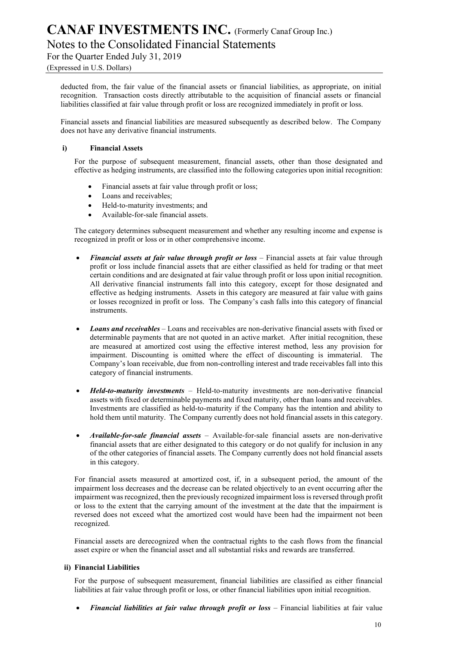Notes to the Consolidated Financial Statements

For the Quarter Ended July 31, 2019

deducted from, the fair value of the financial assets or financial liabilities, as appropriate, on initial recognition. Transaction costs directly attributable to the acquisition of financial assets or financial liabilities classified at fair value through profit or loss are recognized immediately in profit or loss.

Financial assets and financial liabilities are measured subsequently as described below. The Company does not have any derivative financial instruments.

### i) Financial Assets

For the purpose of subsequent measurement, financial assets, other than those designated and effective as hedging instruments, are classified into the following categories upon initial recognition:

- Financial assets at fair value through profit or loss;
- Loans and receivables;
- Held-to-maturity investments; and
- Available-for-sale financial assets.

The category determines subsequent measurement and whether any resulting income and expense is recognized in profit or loss or in other comprehensive income.

- Financial assets at fair value through profit or loss  $-$  Financial assets at fair value through profit or loss include financial assets that are either classified as held for trading or that meet certain conditions and are designated at fair value through profit or loss upon initial recognition. All derivative financial instruments fall into this category, except for those designated and effective as hedging instruments. Assets in this category are measured at fair value with gains or losses recognized in profit or loss. The Company's cash falls into this category of financial instruments.
- **Loans and receivables** Loans and receivables are non-derivative financial assets with fixed or determinable payments that are not quoted in an active market. After initial recognition, these are measured at amortized cost using the effective interest method, less any provision for impairment. Discounting is omitted where the effect of discounting is immaterial. The Company's loan receivable, due from non-controlling interest and trade receivables fall into this category of financial instruments.
- Held-to-maturity investments Held-to-maturity investments are non-derivative financial assets with fixed or determinable payments and fixed maturity, other than loans and receivables. Investments are classified as held-to-maturity if the Company has the intention and ability to hold them until maturity. The Company currently does not hold financial assets in this category.
- *Available-for-sale financial assets* Available-for-sale financial assets are non-derivative financial assets that are either designated to this category or do not qualify for inclusion in any of the other categories of financial assets. The Company currently does not hold financial assets in this category.

For financial assets measured at amortized cost, if, in a subsequent period, the amount of the impairment loss decreases and the decrease can be related objectively to an event occurring after the impairment was recognized, then the previously recognized impairment loss is reversed through profit or loss to the extent that the carrying amount of the investment at the date that the impairment is reversed does not exceed what the amortized cost would have been had the impairment not been recognized.

Financial assets are derecognized when the contractual rights to the cash flows from the financial asset expire or when the financial asset and all substantial risks and rewards are transferred.

### ii) Financial Liabilities

For the purpose of subsequent measurement, financial liabilities are classified as either financial liabilities at fair value through profit or loss, or other financial liabilities upon initial recognition.

• Financial liabilities at fair value through profit or loss – Financial liabilities at fair value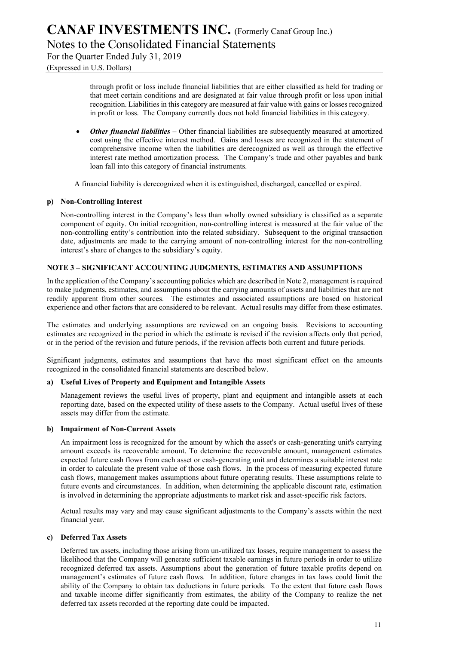Notes to the Consolidated Financial Statements

For the Quarter Ended July 31, 2019

(Expressed in U.S. Dollars)

through profit or loss include financial liabilities that are either classified as held for trading or that meet certain conditions and are designated at fair value through profit or loss upon initial recognition. Liabilities in this category are measured at fair value with gains or losses recognized in profit or loss. The Company currently does not hold financial liabilities in this category.

**Other financial liabilities** – Other financial liabilities are subsequently measured at amortized cost using the effective interest method. Gains and losses are recognized in the statement of comprehensive income when the liabilities are derecognized as well as through the effective interest rate method amortization process. The Company's trade and other payables and bank loan fall into this category of financial instruments.

A financial liability is derecognized when it is extinguished, discharged, cancelled or expired.

### p) Non-Controlling Interest

Non-controlling interest in the Company's less than wholly owned subsidiary is classified as a separate component of equity. On initial recognition, non-controlling interest is measured at the fair value of the non-controlling entity's contribution into the related subsidiary. Subsequent to the original transaction date, adjustments are made to the carrying amount of non-controlling interest for the non-controlling interest's share of changes to the subsidiary's equity.

### NOTE 3 – SIGNIFICANT ACCOUNTING JUDGMENTS, ESTIMATES AND ASSUMPTIONS

In the application of the Company's accounting policies which are described in Note 2, management is required to make judgments, estimates, and assumptions about the carrying amounts of assets and liabilities that are not readily apparent from other sources. The estimates and associated assumptions are based on historical experience and other factors that are considered to be relevant. Actual results may differ from these estimates.

The estimates and underlying assumptions are reviewed on an ongoing basis. Revisions to accounting estimates are recognized in the period in which the estimate is revised if the revision affects only that period, or in the period of the revision and future periods, if the revision affects both current and future periods.

Significant judgments, estimates and assumptions that have the most significant effect on the amounts recognized in the consolidated financial statements are described below.

### a) Useful Lives of Property and Equipment and Intangible Assets

Management reviews the useful lives of property, plant and equipment and intangible assets at each reporting date, based on the expected utility of these assets to the Company. Actual useful lives of these assets may differ from the estimate.

### b) Impairment of Non-Current Assets

An impairment loss is recognized for the amount by which the asset's or cash-generating unit's carrying amount exceeds its recoverable amount. To determine the recoverable amount, management estimates expected future cash flows from each asset or cash-generating unit and determines a suitable interest rate in order to calculate the present value of those cash flows. In the process of measuring expected future cash flows, management makes assumptions about future operating results. These assumptions relate to future events and circumstances. In addition, when determining the applicable discount rate, estimation is involved in determining the appropriate adjustments to market risk and asset-specific risk factors.

Actual results may vary and may cause significant adjustments to the Company's assets within the next financial year.

### c) Deferred Tax Assets

Deferred tax assets, including those arising from un-utilized tax losses, require management to assess the likelihood that the Company will generate sufficient taxable earnings in future periods in order to utilize recognized deferred tax assets. Assumptions about the generation of future taxable profits depend on management's estimates of future cash flows. In addition, future changes in tax laws could limit the ability of the Company to obtain tax deductions in future periods. To the extent that future cash flows and taxable income differ significantly from estimates, the ability of the Company to realize the net deferred tax assets recorded at the reporting date could be impacted.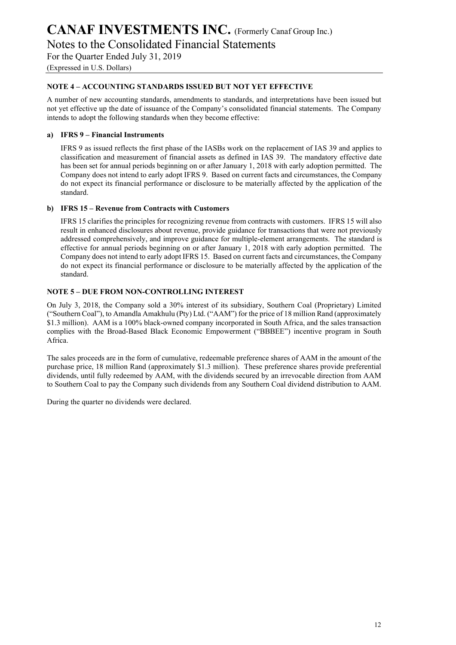Notes to the Consolidated Financial Statements

For the Quarter Ended July 31, 2019

(Expressed in U.S. Dollars)

### NOTE 4 – ACCOUNTING STANDARDS ISSUED BUT NOT YET EFFECTIVE

A number of new accounting standards, amendments to standards, and interpretations have been issued but not yet effective up the date of issuance of the Company's consolidated financial statements. The Company intends to adopt the following standards when they become effective:

### a) IFRS 9 – Financial Instruments

IFRS 9 as issued reflects the first phase of the IASBs work on the replacement of IAS 39 and applies to classification and measurement of financial assets as defined in IAS 39. The mandatory effective date has been set for annual periods beginning on or after January 1, 2018 with early adoption permitted. The Company does not intend to early adopt IFRS 9. Based on current facts and circumstances, the Company do not expect its financial performance or disclosure to be materially affected by the application of the standard.

### b) IFRS 15 – Revenue from Contracts with Customers

IFRS 15 clarifies the principles for recognizing revenue from contracts with customers. IFRS 15 will also result in enhanced disclosures about revenue, provide guidance for transactions that were not previously addressed comprehensively, and improve guidance for multiple-element arrangements. The standard is effective for annual periods beginning on or after January 1, 2018 with early adoption permitted. The Company does not intend to early adopt IFRS 15. Based on current facts and circumstances, the Company do not expect its financial performance or disclosure to be materially affected by the application of the standard.

### NOTE 5 – DUE FROM NON-CONTROLLING INTEREST

On July 3, 2018, the Company sold a 30% interest of its subsidiary, Southern Coal (Proprietary) Limited ("Southern Coal"), to Amandla Amakhulu (Pty) Ltd. ("AAM") for the price of 18 million Rand (approximately \$1.3 million). AAM is a 100% black-owned company incorporated in South Africa, and the sales transaction complies with the Broad-Based Black Economic Empowerment ("BBBEE") incentive program in South Africa.

The sales proceeds are in the form of cumulative, redeemable preference shares of AAM in the amount of the purchase price, 18 million Rand (approximately \$1.3 million). These preference shares provide preferential dividends, until fully redeemed by AAM, with the dividends secured by an irrevocable direction from AAM to Southern Coal to pay the Company such dividends from any Southern Coal dividend distribution to AAM.

During the quarter no dividends were declared.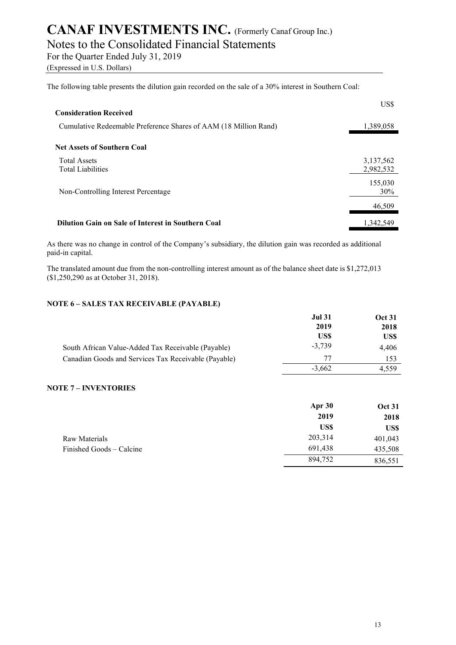### Notes to the Consolidated Financial Statements

For the Quarter Ended July 31, 2019

(Expressed in U.S. Dollars)

The following table presents the dilution gain recorded on the sale of a 30% interest in Southern Coal:

|                                                                  | US\$      |
|------------------------------------------------------------------|-----------|
| <b>Consideration Received</b>                                    |           |
| Cumulative Redeemable Preference Shares of AAM (18 Million Rand) | 1,389,058 |
|                                                                  |           |
| <b>Net Assets of Southern Coal</b>                               |           |
| <b>Total Assets</b>                                              | 3,137,562 |
| <b>Total Liabilities</b>                                         | 2,982,532 |
|                                                                  | 155,030   |
| Non-Controlling Interest Percentage                              | 30%       |
|                                                                  | 46,509    |
| Dilution Gain on Sale of Interest in Southern Coal               | 1,342,549 |

As there was no change in control of the Company's subsidiary, the dilution gain was recorded as additional paid-in capital.

The translated amount due from the non-controlling interest amount as of the balance sheet date is \$1,272,013 (\$1,250,290 as at October 31, 2018).

### NOTE 6 – SALES TAX RECEIVABLE (PAYABLE)

|                                                      | <b>Jul 31</b> | <b>Oct 31</b> |
|------------------------------------------------------|---------------|---------------|
|                                                      | 2019          | 2018          |
|                                                      | US\$          | US\$          |
| South African Value-Added Tax Receivable (Payable)   | $-3,739$      | 4,406         |
| Canadian Goods and Services Tax Receivable (Payable) | 77            | 153           |
|                                                      | $-3.662$      | 4.559         |

### NOTE 7 – INVENTORIES

|                          | Apr 30  | <b>Oct 31</b> |
|--------------------------|---------|---------------|
|                          | 2019    | 2018          |
|                          | US\$    | US\$          |
| Raw Materials            | 203,314 | 401,043       |
| Finished Goods – Calcine | 691,438 | 435,508       |
|                          | 894,752 | 836,551       |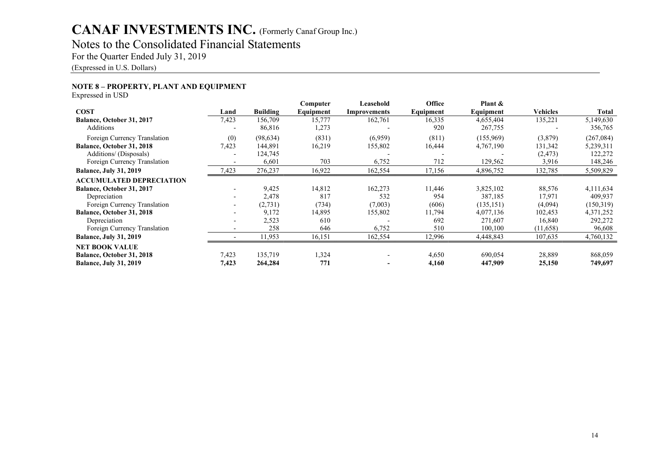### Notes to the Consolidated Financial Statements

For the Quarter Ended July 31, 2019

(Expressed in U.S. Dollars)

### NOTE 8 – PROPERTY, PLANT AND EQUIPMENT

Expressed in USD

|                                  |                          |                 | Computer  | Leasehold    | <b>Office</b> | Plant &    |          |           |
|----------------------------------|--------------------------|-----------------|-----------|--------------|---------------|------------|----------|-----------|
| <b>COST</b>                      | Land                     | <b>Building</b> | Equipment | Improvements | Equipment     | Equipment  | Vehicles | Total     |
| <b>Balance, October 31, 2017</b> | 7,423                    | 156,709         | 15,777    | 162,761      | 16,335        | 4,655,404  | 135,221  | 5,149,630 |
| Additions                        |                          | 86,816          | 1,273     |              | 920           | 267,755    |          | 356,765   |
| Foreign Currency Translation     | (0)                      | (98, 634)       | (831)     | (6,959)      | (811)         | (155,969)  | (3,879)  | (267,084) |
| Balance, October 31, 2018        | 7,423                    | 144,891         | 16,219    | 155,802      | 16,444        | 4,767,190  | 131,342  | 5,239,311 |
| Additions/ (Disposals)           |                          | 124,745         |           |              |               |            | (2, 473) | 122,272   |
| Foreign Currency Translation     |                          | 6,601           | 703       | 6,752        | 712           | 129,562    | 3,916    | 148,246   |
| <b>Balance, July 31, 2019</b>    | 7,423                    | 276,237         | 16,922    | 162,554      | 17,156        | 4,896,752  | 132,785  | 5,509,829 |
| <b>ACCUMULATED DEPRECIATION</b>  |                          |                 |           |              |               |            |          |           |
| Balance, October 31, 2017        | $\overline{\phantom{0}}$ | 9,425           | 14,812    | 162,273      | 11,446        | 3,825,102  | 88,576   | 4,111,634 |
| Depreciation                     | $\overline{\phantom{0}}$ | 2,478           | 817       | 532          | 954           | 387,185    | 17,971   | 409,937   |
| Foreign Currency Translation     | $\overline{\phantom{0}}$ | (2,731)         | (734)     | (7,003)      | (606)         | (135, 151) | (4,094)  | (150,319) |
| Balance, October 31, 2018        | $\overline{\phantom{a}}$ | 9,172           | 14,895    | 155,802      | 11,794        | 4,077,136  | 102,453  | 4,371,252 |
| Depreciation                     |                          | 2,523           | 610       |              | 692           | 271,607    | 16,840   | 292,272   |
| Foreign Currency Translation     |                          | 258             | 646       | 6,752        | 510           | 100,100    | (11,658) | 96,608    |
| <b>Balance, July 31, 2019</b>    |                          | 11,953          | 16,151    | 162,554      | 12,996        | 4,448,843  | 107,635  | 4,760,132 |
| <b>NET BOOK VALUE</b>            |                          |                 |           |              |               |            |          |           |
| Balance, October 31, 2018        | 7,423                    | 135,719         | 1,324     |              | 4,650         | 690,054    | 28,889   | 868,059   |
| <b>Balance, July 31, 2019</b>    | 7,423                    | 264,284         | 771       |              | 4,160         | 447,909    | 25,150   | 749,697   |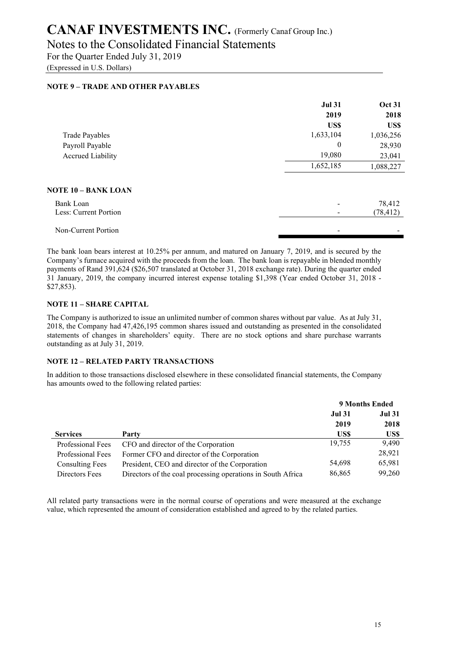### Notes to the Consolidated Financial Statements

For the Quarter Ended July 31, 2019

(Expressed in U.S. Dollars)

### NOTE 9 – TRADE AND OTHER PAYABLES

|                            | <b>Jul 31</b> | <b>Oct 31</b> |
|----------------------------|---------------|---------------|
|                            | 2019          | 2018          |
|                            | US\$          | US\$          |
| <b>Trade Payables</b>      | 1,633,104     | 1,036,256     |
| Payroll Payable            | 0             | 28,930        |
| <b>Accrued Liability</b>   | 19,080        | 23,041        |
|                            | 1,652,185     | 1,088,227     |
| <b>NOTE 10 - BANK LOAN</b> |               |               |
| Bank Loan                  |               | 78,412        |
| Less: Current Portion      |               | (78, 412)     |
| Non-Current Portion        |               |               |

The bank loan bears interest at 10.25% per annum, and matured on January 7, 2019, and is secured by the Company's furnace acquired with the proceeds from the loan. The bank loan is repayable in blended monthly payments of Rand 391,624 (\$26,507 translated at October 31, 2018 exchange rate). During the quarter ended 31 January, 2019, the company incurred interest expense totaling \$1,398 (Year ended October 31, 2018 - \$27,853).

### NOTE 11 – SHARE CAPITAL

The Company is authorized to issue an unlimited number of common shares without par value. As at July 31, 2018, the Company had 47,426,195 common shares issued and outstanding as presented in the consolidated statements of changes in shareholders' equity. There are no stock options and share purchase warrants outstanding as at July 31, 2019.

### NOTE 12 – RELATED PARTY TRANSACTIONS

In addition to those transactions disclosed elsewhere in these consolidated financial statements, the Company has amounts owed to the following related parties:

|                        |                                                             | 9 Months Ended |               |
|------------------------|-------------------------------------------------------------|----------------|---------------|
|                        |                                                             | <b>Jul 31</b>  | <b>Jul 31</b> |
|                        |                                                             | 2019           | 2018          |
| <b>Services</b>        | Party                                                       | US\$           | US\$          |
| Professional Fees      | CFO and director of the Corporation                         | 19,755         | 9,490         |
| Professional Fees      | Former CFO and director of the Corporation                  |                | 28,921        |
| <b>Consulting Fees</b> | President, CEO and director of the Corporation              | 54,698         | 65,981        |
| Directors Fees         | Directors of the coal processing operations in South Africa | 86,865         | 99,260        |

All related party transactions were in the normal course of operations and were measured at the exchange value, which represented the amount of consideration established and agreed to by the related parties.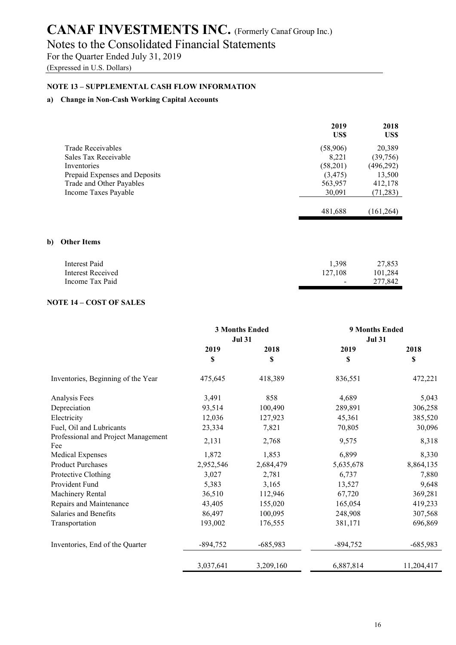### Notes to the Consolidated Financial Statements

For the Quarter Ended July 31, 2019

(Expressed in U.S. Dollars)

### NOTE 13 – SUPPLEMENTAL CASH FLOW INFORMATION

### a) Change in Non-Cash Working Capital Accounts

|                               | 2019<br>US\$ | 2018<br>US\$ |
|-------------------------------|--------------|--------------|
| Trade Receivables             | (58,906)     | 20,389       |
| Sales Tax Receivable          | 8.221        | (39, 756)    |
| Inventories                   | (58,201)     | (496, 292)   |
| Prepaid Expenses and Deposits | (3, 475)     | 13,500       |
| Trade and Other Payables      | 563,957      | 412,178      |
| Income Taxes Payable          | 30,091       | (71, 283)    |
|                               | 481,688      | (161, 264)   |
|                               |              |              |

### b) Other Items

| Interest Paid     | 1.398   | 27,853  |
|-------------------|---------|---------|
| Interest Received | 127.108 | 101.284 |
| Income Tax Paid   | $\sim$  | 277,842 |

### NOTE 14 – COST OF SALES

|                                            | <b>3 Months Ended</b><br><b>Jul 31</b> |            | <b>9 Months Ended</b><br><b>Jul 31</b> |            |
|--------------------------------------------|----------------------------------------|------------|----------------------------------------|------------|
|                                            | 2019                                   | 2018       | 2019                                   | 2018       |
|                                            | \$                                     | \$         | \$                                     | \$         |
| Inventories, Beginning of the Year         | 475,645                                | 418,389    | 836,551                                | 472,221    |
| Analysis Fees                              | 3,491                                  | 858        | 4,689                                  | 5,043      |
| Depreciation                               | 93,514                                 | 100,490    | 289,891                                | 306,258    |
| Electricity                                | 12,036                                 | 127,923    | 45,361                                 | 385,520    |
| Fuel, Oil and Lubricants                   | 23,334                                 | 7,821      | 70,805                                 | 30,096     |
| Professional and Project Management<br>Fee | 2,131                                  | 2,768      | 9,575                                  | 8,318      |
| <b>Medical Expenses</b>                    | 1,872                                  | 1,853      | 6,899                                  | 8,330      |
| <b>Product Purchases</b>                   | 2,952,546                              | 2,684,479  | 5,635,678                              | 8,864,135  |
| Protective Clothing                        | 3,027                                  | 2,781      | 6,737                                  | 7,880      |
| Provident Fund                             | 5,383                                  | 3,165      | 13,527                                 | 9,648      |
| Machinery Rental                           | 36,510                                 | 112,946    | 67,720                                 | 369,281    |
| Repairs and Maintenance                    | 43,405                                 | 155,020    | 165,054                                | 419,233    |
| Salaries and Benefits                      | 86,497                                 | 100,095    | 248,908                                | 307,568    |
| Transportation                             | 193,002                                | 176,555    | 381,171                                | 696,869    |
| Inventories, End of the Quarter            | $-894,752$                             | $-685,983$ | $-894,752$                             | $-685,983$ |
|                                            | 3,037,641                              | 3,209,160  | 6,887,814                              | 11,204,417 |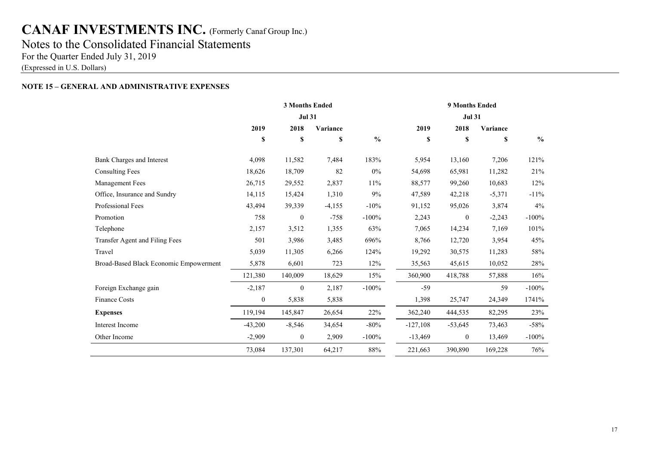### CANAF INVESTMENTS INC. (Formerly Canaf Group Inc.) Notes to the Consolidated Financial Statements For the Quarter Ended July 31, 2019

(Expressed in U.S. Dollars)

### NOTE 15 – GENERAL AND ADMINISTRATIVE EXPENSES

|                                        |                  | 3 Months Ended   |               |               |            | 9 Months Ended   |          |               |
|----------------------------------------|------------------|------------------|---------------|---------------|------------|------------------|----------|---------------|
|                                        | <b>Jul 31</b>    |                  | <b>Jul 31</b> |               |            |                  |          |               |
|                                        | 2019             | 2018             | Variance      |               | 2019       | 2018             | Variance |               |
|                                        | \$               | \$               | S             | $\frac{0}{0}$ | \$         | \$               | \$       | $\frac{6}{6}$ |
| Bank Charges and Interest              | 4,098            | 11,582           | 7,484         | 183%          | 5,954      | 13,160           | 7,206    | 121%          |
| <b>Consulting Fees</b>                 | 18,626           | 18,709           | 82            | $0\%$         | 54,698     | 65,981           | 11,282   | 21%           |
| Management Fees                        | 26,715           | 29,552           | 2,837         | $11\%$        | 88,577     | 99,260           | 10,683   | 12%           |
| Office, Insurance and Sundry           | 14,115           | 15,424           | 1,310         | 9%            | 47,589     | 42,218           | $-5,371$ | $-11%$        |
| Professional Fees                      | 43,494           | 39,339           | $-4,155$      | $-10%$        | 91,152     | 95,026           | 3,874    | 4%            |
| Promotion                              | 758              | $\boldsymbol{0}$ | $-758$        | $-100%$       | 2,243      | $\mathbf{0}$     | $-2,243$ | $-100%$       |
| Telephone                              | 2,157            | 3,512            | 1,355         | 63%           | 7,065      | 14,234           | 7,169    | 101%          |
| Transfer Agent and Filing Fees         | 501              | 3,986            | 3,485         | 696%          | 8,766      | 12,720           | 3,954    | 45%           |
| Travel                                 | 5,039            | 11,305           | 6,266         | 124%          | 19,292     | 30,575           | 11,283   | 58%           |
| Broad-Based Black Economic Empowerment | 5,878            | 6,601            | 723           | 12%           | 35,563     | 45,615           | 10,052   | 28%           |
|                                        | 121,380          | 140,009          | 18,629        | 15%           | 360,900    | 418,788          | 57,888   | 16%           |
| Foreign Exchange gain                  | $-2,187$         | $\boldsymbol{0}$ | 2,187         | $-100%$       | $-59$      |                  | 59       | $-100%$       |
| Finance Costs                          | $\boldsymbol{0}$ | 5,838            | 5,838         |               | 1,398      | 25,747           | 24,349   | 1741%         |
| <b>Expenses</b>                        | 119,194          | 145,847          | 26,654        | 22%           | 362,240    | 444,535          | 82,295   | 23%           |
| Interest Income                        | $-43,200$        | $-8,546$         | 34,654        | $-80%$        | $-127,108$ | $-53,645$        | 73,463   | $-58%$        |
| Other Income                           | $-2,909$         | $\boldsymbol{0}$ | 2,909         | $-100%$       | $-13,469$  | $\boldsymbol{0}$ | 13,469   | $-100%$       |
|                                        | 73,084           | 137,301          | 64,217        | $88\%$        | 221,663    | 390,890          | 169,228  | 76%           |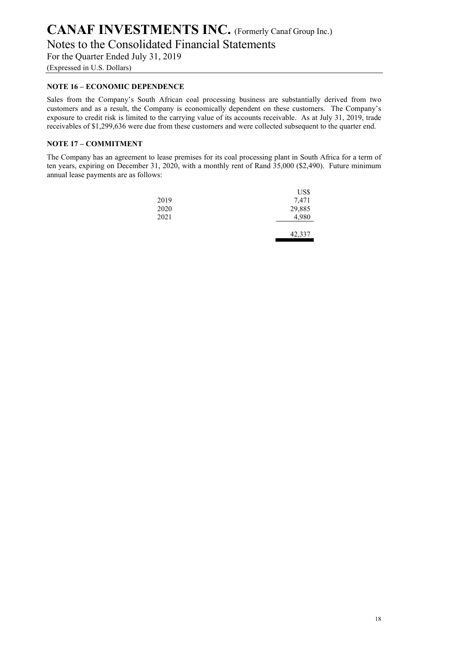Notes to the Consolidated Financial Statements

For the Quarter Ended July 31, 2019

(Expressed in U.S. Dollars)

### NOTE 16 – ECONOMIC DEPENDENCE

Sales from the Company's South African coal processing business are substantially derived from two customers and as a result, the Company is economically dependent on these customers. The Company's exposure to credit risk is limited to the carrying value of its accounts receivable. As at July 31, 2019, trade receivables of \$1,299,636 were due from these customers and were collected subsequent to the quarter end.

### NOTE 17 – COMMITMENT

The Company has an agreement to lease premises for its coal processing plant in South Africa for a term of ten years, expiring on December 31, 2020, with a monthly rent of Rand 35,000 (\$2,490). Future minimum annual lease payments are as follows:

|      | US\$   |
|------|--------|
| 2019 | 7,471  |
| 2020 | 29,885 |
| 2021 | 4,980  |
|      |        |
|      | 42,337 |
|      |        |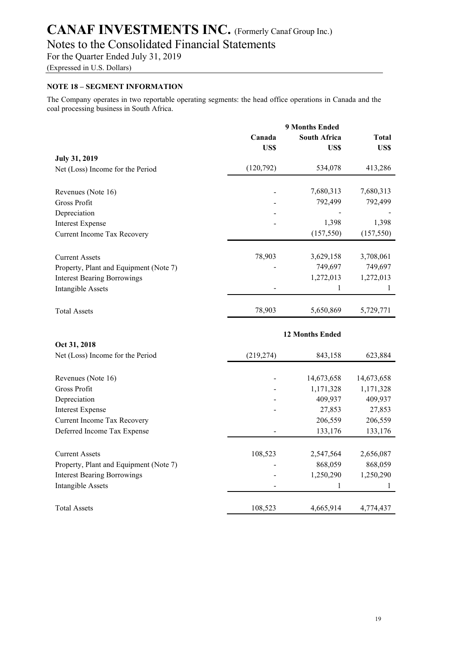Notes to the Consolidated Financial Statements

For the Quarter Ended July 31, 2019

(Expressed in U.S. Dollars)

### NOTE 18 – SEGMENT INFORMATION

The Company operates in two reportable operating segments: the head office operations in Canada and the coal processing business in South Africa.

|                                        | <b>9 Months Ended</b> |                     |            |
|----------------------------------------|-----------------------|---------------------|------------|
|                                        | Canada                | <b>South Africa</b> | Total      |
|                                        | US\$                  | US\$                | US\$       |
| <b>July 31, 2019</b>                   |                       |                     |            |
| Net (Loss) Income for the Period       | (120,792)             | 534,078             | 413,286    |
|                                        |                       | 7,680,313           | 7,680,313  |
| Revenues (Note 16)                     |                       |                     |            |
| Gross Profit                           |                       | 792,499             | 792,499    |
| Depreciation                           |                       |                     |            |
| <b>Interest Expense</b>                |                       | 1,398               | 1,398      |
| Current Income Tax Recovery            |                       | (157, 550)          | (157, 550) |
|                                        |                       |                     |            |
| <b>Current Assets</b>                  | 78,903                | 3,629,158           | 3,708,061  |
| Property, Plant and Equipment (Note 7) |                       | 749,697             | 749,697    |
| <b>Interest Bearing Borrowings</b>     |                       | 1,272,013           | 1,272,013  |
| Intangible Assets                      |                       | 1                   |            |
|                                        |                       |                     |            |
| <b>Total Assets</b>                    | 78,903                | 5,650,869           | 5,729,771  |

### 12 Months Ended

| Oct 31, 2018                           |            |            |              |
|----------------------------------------|------------|------------|--------------|
| Net (Loss) Income for the Period       | (219, 274) | 843,158    | 623,884      |
|                                        |            |            |              |
| Revenues (Note 16)                     |            | 14,673,658 | 14,673,658   |
| Gross Profit                           |            | 1,171,328  | 1,171,328    |
| Depreciation                           |            | 409,937    | 409,937      |
| Interest Expense                       |            | 27,853     | 27,853       |
| Current Income Tax Recovery            |            | 206,559    | 206,559      |
| Deferred Income Tax Expense            |            | 133,176    | 133,176      |
|                                        |            |            |              |
| <b>Current Assets</b>                  | 108,523    | 2,547,564  | 2,656,087    |
| Property, Plant and Equipment (Note 7) |            | 868,059    | 868,059      |
| <b>Interest Bearing Borrowings</b>     |            | 1,250,290  | 1,250,290    |
| Intangible Assets                      |            | 1          | $\mathbf{I}$ |
| <b>Total Assets</b>                    | 108,523    | 4,665,914  | 4,774,437    |
|                                        |            |            |              |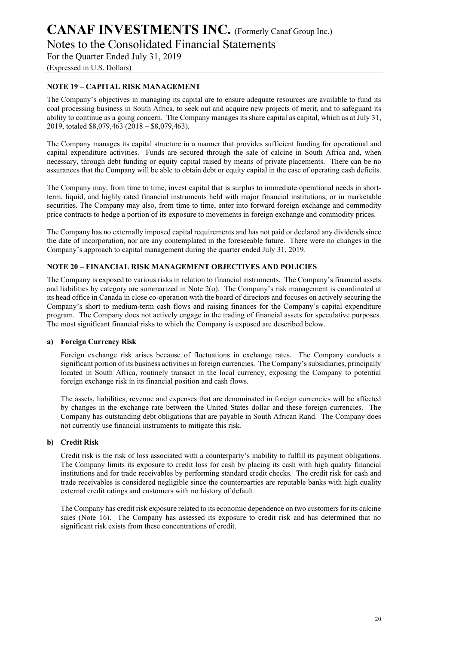Notes to the Consolidated Financial Statements

For the Quarter Ended July 31, 2019

(Expressed in U.S. Dollars)

### NOTE 19 – CAPITAL RISK MANAGEMENT

The Company's objectives in managing its capital are to ensure adequate resources are available to fund its coal processing business in South Africa, to seek out and acquire new projects of merit, and to safeguard its ability to continue as a going concern. The Company manages its share capital as capital, which as at July 31, 2019, totaled \$8,079,463 (2018 – \$8,079,463).

The Company manages its capital structure in a manner that provides sufficient funding for operational and capital expenditure activities. Funds are secured through the sale of calcine in South Africa and, when necessary, through debt funding or equity capital raised by means of private placements. There can be no assurances that the Company will be able to obtain debt or equity capital in the case of operating cash deficits.

The Company may, from time to time, invest capital that is surplus to immediate operational needs in shortterm, liquid, and highly rated financial instruments held with major financial institutions, or in marketable securities. The Company may also, from time to time, enter into forward foreign exchange and commodity price contracts to hedge a portion of its exposure to movements in foreign exchange and commodity prices.

The Company has no externally imposed capital requirements and has not paid or declared any dividends since the date of incorporation, nor are any contemplated in the foreseeable future. There were no changes in the Company's approach to capital management during the quarter ended July 31, 2019.

### NOTE 20 – FINANCIAL RISK MANAGEMENT OBJECTIVES AND POLICIES

The Company is exposed to various risks in relation to financial instruments. The Company's financial assets and liabilities by category are summarized in Note 2(o). The Company's risk management is coordinated at its head office in Canada in close co-operation with the board of directors and focuses on actively securing the Company's short to medium-term cash flows and raising finances for the Company's capital expenditure program. The Company does not actively engage in the trading of financial assets for speculative purposes. The most significant financial risks to which the Company is exposed are described below.

### a) Foreign Currency Risk

Foreign exchange risk arises because of fluctuations in exchange rates. The Company conducts a significant portion of its business activities in foreign currencies. The Company's subsidiaries, principally located in South Africa, routinely transact in the local currency, exposing the Company to potential foreign exchange risk in its financial position and cash flows.

The assets, liabilities, revenue and expenses that are denominated in foreign currencies will be affected by changes in the exchange rate between the United States dollar and these foreign currencies. The Company has outstanding debt obligations that are payable in South African Rand. The Company does not currently use financial instruments to mitigate this risk.

### b) Credit Risk

Credit risk is the risk of loss associated with a counterparty's inability to fulfill its payment obligations. The Company limits its exposure to credit loss for cash by placing its cash with high quality financial institutions and for trade receivables by performing standard credit checks. The credit risk for cash and trade receivables is considered negligible since the counterparties are reputable banks with high quality external credit ratings and customers with no history of default.

The Company has credit risk exposure related to its economic dependence on two customers for its calcine sales (Note 16). The Company has assessed its exposure to credit risk and has determined that no significant risk exists from these concentrations of credit.